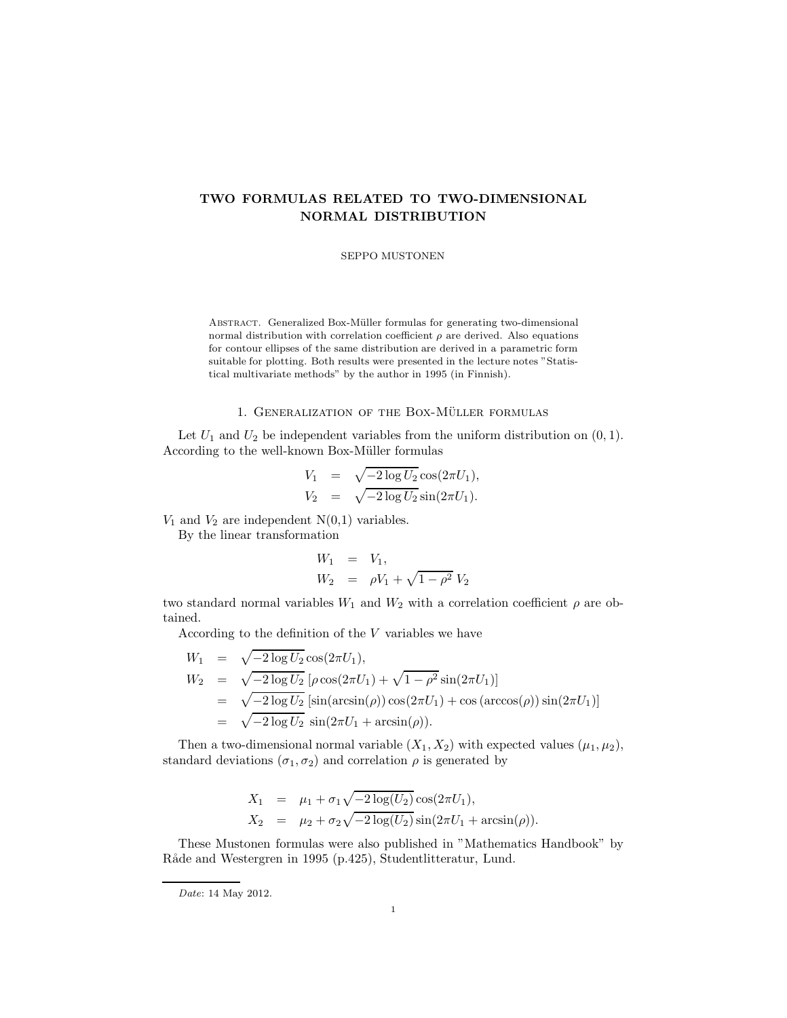## TWO FORMULAS RELATED TO TWO-DIMENSIONAL NORMAL DISTRIBUTION

SEPPO MUSTONEN

ABSTRACT. Generalized Box-Müller formulas for generating two-dimensional normal distribution with correlation coefficient  $\rho$  are derived. Also equations for contour ellipses of the same distribution are derived in a parametric form suitable for plotting. Both results were presented in the lecture notes "Statistical multivariate methods" by the author in 1995 (in Finnish).

## 1. GENERALIZATION OF THE BOX-MÜLLER FORMULAS

Let  $U_1$  and  $U_2$  be independent variables from the uniform distribution on  $(0, 1)$ . According to the well-known Box-Müller formulas

$$
V_1 = \sqrt{-2 \log U_2} \cos(2\pi U_1),
$$
  
\n
$$
V_2 = \sqrt{-2 \log U_2} \sin(2\pi U_1).
$$

 $V_1$  and  $V_2$  are independent  $N(0,1)$  variables.

By the linear transformation

$$
W_1 = V_1,
$$
  
\n
$$
W_2 = \rho V_1 + \sqrt{1 - \rho^2} V_2
$$

two standard normal variables  $W_1$  and  $W_2$  with a correlation coefficient  $\rho$  are obtained.

According to the definition of the  $V$  variables we have

$$
W_1 = \sqrt{-2 \log U_2} \cos(2\pi U_1),
$$
  
\n
$$
W_2 = \sqrt{-2 \log U_2} [\rho \cos(2\pi U_1) + \sqrt{1 - \rho^2} \sin(2\pi U_1)]
$$
  
\n
$$
= \sqrt{-2 \log U_2} [\sin(\arcsin(\rho)) \cos(2\pi U_1) + \cos(\arccos(\rho)) \sin(2\pi U_1)]
$$
  
\n
$$
= \sqrt{-2 \log U_2} \sin(2\pi U_1 + \arcsin(\rho)).
$$

Then a two-dimensional normal variable  $(X_1, X_2)$  with expected values  $(\mu_1, \mu_2)$ , standard deviations  $(\sigma_1, \sigma_2)$  and correlation  $\rho$  is generated by

$$
X_1 = \mu_1 + \sigma_1 \sqrt{-2 \log(U_2)} \cos(2\pi U_1),
$$
  
\n
$$
X_2 = \mu_2 + \sigma_2 \sqrt{-2 \log(U_2)} \sin(2\pi U_1 + \arcsin(\rho)).
$$

These Mustonen formulas were also published in "Mathematics Handbook" by Råde and Westergren in 1995 (p.425), Studentlitteratur, Lund.

Date: 14 May 2012.